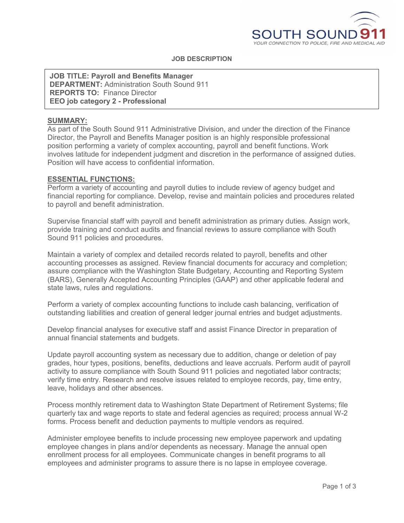

# **JOB DESCRIPTION**

**JOB TITLE: Payroll and Benefits Manager DEPARTMENT:** Administration South Sound 911 **REPORTS TO:** Finance Director **EEO job category 2 - Professional**

# **SUMMARY:**

As part of the South Sound 911 Administrative Division, and under the direction of the Finance Director, the Payroll and Benefits Manager position is an highly responsible professional position performing a variety of complex accounting, payroll and benefit functions. Work involves latitude for independent judgment and discretion in the performance of assigned duties. Position will have access to confidential information.

#### **ESSENTIAL FUNCTIONS:**

Perform a variety of accounting and payroll duties to include review of agency budget and financial reporting for compliance. Develop, revise and maintain policies and procedures related to payroll and benefit administration.

Supervise financial staff with payroll and benefit administration as primary duties. Assign work, provide training and conduct audits and financial reviews to assure compliance with South Sound 911 policies and procedures.

Maintain a variety of complex and detailed records related to payroll, benefits and other accounting processes as assigned. Review financial documents for accuracy and completion; assure compliance with the Washington State Budgetary, Accounting and Reporting System (BARS), Generally Accepted Accounting Principles (GAAP) and other applicable federal and state laws, rules and regulations.

Perform a variety of complex accounting functions to include cash balancing, verification of outstanding liabilities and creation of general ledger journal entries and budget adjustments.

Develop financial analyses for executive staff and assist Finance Director in preparation of annual financial statements and budgets.

Update payroll accounting system as necessary due to addition, change or deletion of pay grades, hour types, positions, benefits, deductions and leave accruals. Perform audit of payroll activity to assure compliance with South Sound 911 policies and negotiated labor contracts; verify time entry. Research and resolve issues related to employee records, pay, time entry, leave, holidays and other absences.

Process monthly retirement data to Washington State Department of Retirement Systems; file quarterly tax and wage reports to state and federal agencies as required; process annual W-2 forms. Process benefit and deduction payments to multiple vendors as required.

Administer employee benefits to include processing new employee paperwork and updating employee changes in plans and/or dependents as necessary. Manage the annual open enrollment process for all employees. Communicate changes in benefit programs to all employees and administer programs to assure there is no lapse in employee coverage.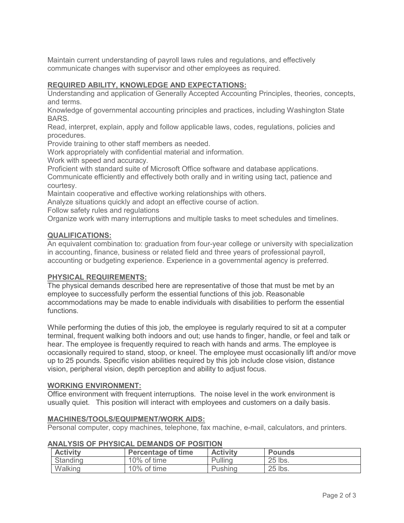Maintain current understanding of payroll laws rules and regulations, and effectively communicate changes with supervisor and other employees as required.

# **REQUIRED ABILITY, KNOWLEDGE AND EXPECTATIONS:**

Understanding and application of Generally Accepted Accounting Principles, theories, concepts, and terms.

Knowledge of governmental accounting principles and practices, including Washington State BARS.

Read, interpret, explain, apply and follow applicable laws, codes, regulations, policies and procedures.

Provide training to other staff members as needed.

Work appropriately with confidential material and information.

Work with speed and accuracy.

Proficient with standard suite of Microsoft Office software and database applications.

Communicate efficiently and effectively both orally and in writing using tact, patience and courtesy.

Maintain cooperative and effective working relationships with others.

Analyze situations quickly and adopt an effective course of action.

Follow safety rules and regulations

Organize work with many interruptions and multiple tasks to meet schedules and timelines.

## **QUALIFICATIONS:**

An equivalent combination to: graduation from four-year college or university with specialization in accounting, finance, business or related field and three years of professional payroll, accounting or budgeting experience. Experience in a governmental agency is preferred.

#### **PHYSICAL REQUIREMENTS:**

The physical demands described here are representative of those that must be met by an employee to successfully perform the essential functions of this job. Reasonable accommodations may be made to enable individuals with disabilities to perform the essential functions.

While performing the duties of this job, the employee is regularly required to sit at a computer terminal, frequent walking both indoors and out; use hands to finger, handle, or feel and talk or hear. The employee is frequently required to reach with hands and arms. The employee is occasionally required to stand, stoop, or kneel. The employee must occasionally lift and/or move up to 25 pounds. Specific vision abilities required by this job include close vision, distance vision, peripheral vision, depth perception and ability to adjust focus.

#### **WORKING ENVIRONMENT:**

Office environment with frequent interruptions. The noise level in the work environment is usually quiet. This position will interact with employees and customers on a daily basis.

## **MACHINES/TOOLS/EQUIPMENT/WORK AIDS:**

Personal computer, copy machines, telephone, fax machine, e-mail, calculators, and printers.

| <b>Activity</b> | <b>Percentage of time</b> | <b>Activity</b> | <b>Pounds</b> |
|-----------------|---------------------------|-----------------|---------------|
| Standing        | 10% of time               | Pulling         | 25 lbs.       |
| Walking         | 10% of time               | Pushing         | 25 lbs.       |

# **ANALYSIS OF PHYSICAL DEMANDS OF POSITION**